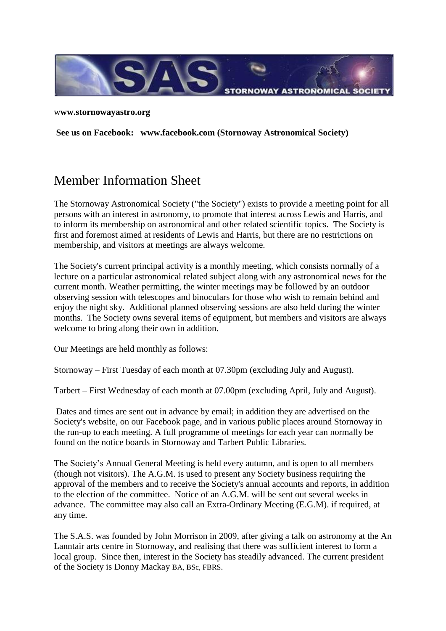

w**ww.stornowayastro.org**

**See us on Facebook: [www.facebook.com](http://www.facebook.com/) (Stornoway Astronomical Society)**

## Member Information Sheet

The Stornoway Astronomical Society ("the Society") exists to provide a meeting point for all persons with an interest in astronomy, to promote that interest across Lewis and Harris, and to inform its membership on astronomical and other related scientific topics. The Society is first and foremost aimed at residents of Lewis and Harris, but there are no restrictions on membership, and visitors at meetings are always welcome.

The Society's current principal activity is a monthly meeting, which consists normally of a lecture on a particular astronomical related subject along with any astronomical news for the current month. Weather permitting, the winter meetings may be followed by an outdoor observing session with telescopes and binoculars for those who wish to remain behind and enjoy the night sky. Additional planned observing sessions are also held during the winter months. The Society owns several items of equipment, but members and visitors are always welcome to bring along their own in addition.

Our Meetings are held monthly as follows:

Stornoway – First Tuesday of each month at 07.30pm (excluding July and August).

Tarbert – First Wednesday of each month at 07.00pm (excluding April, July and August).

Dates and times are sent out in advance by email; in addition they are advertised on the Society's website, on our Facebook page, and in various public places around Stornoway in the run-up to each meeting. A full programme of meetings for each year can normally be found on the notice boards in Stornoway and Tarbert Public Libraries.

The Society's Annual General Meeting is held every autumn, and is open to all members (though not visitors). The A.G.M. is used to present any Society business requiring the approval of the members and to receive the Society's annual accounts and reports, in addition to the election of the committee. Notice of an A.G.M. will be sent out several weeks in advance. The committee may also call an Extra-Ordinary Meeting (E.G.M). if required, at any time.

The S.A.S. was founded by John Morrison in 2009, after giving a talk on astronomy at the An Lanntair arts centre in Stornoway, and realising that there was sufficient interest to form a local group. Since then, interest in the Society has steadily advanced. The current president of the Society is Donny Mackay BA, BSc, FBRS.